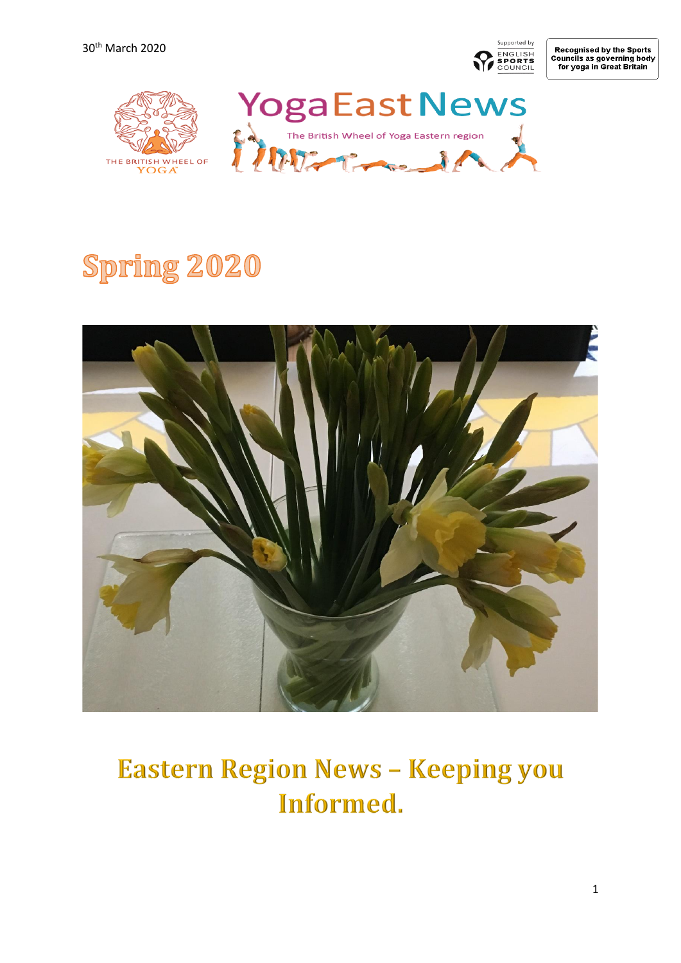Supported by ENGLISH<br>SPORTS<br>COUNCIL

Recognised by the Sports<br>Councils as governing body<br>for yoga in Great Britain



# **Spring 2020**



## **Eastern Region News - Keeping you** Informed.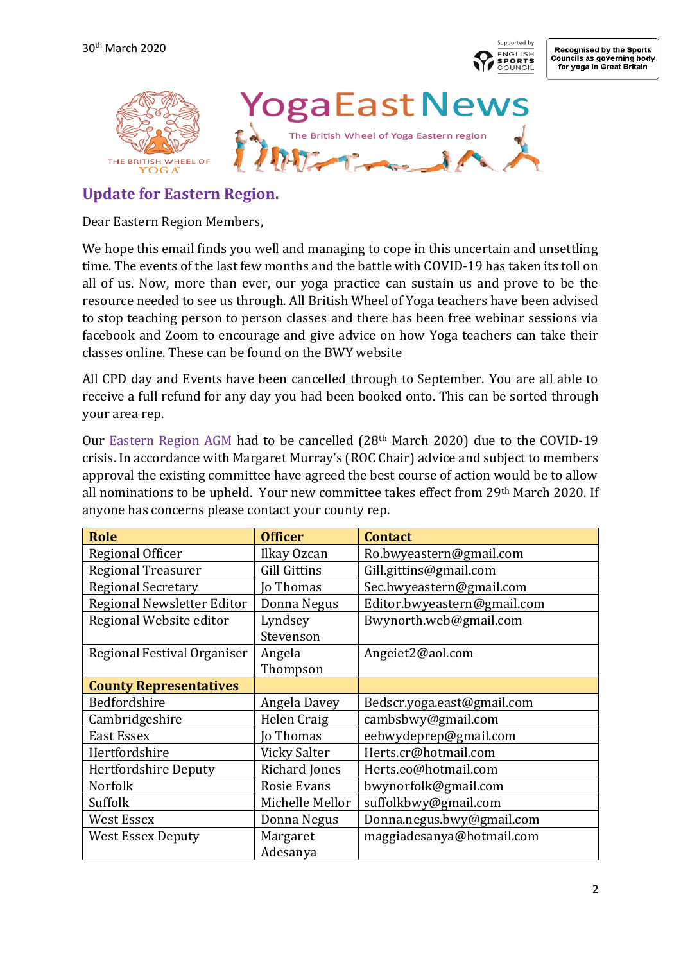



## **Update for Eastern Region.**

Dear Eastern Region Members,

We hope this email finds you well and managing to cope in this uncertain and unsettling time. The events of the last few months and the battle with COVID-19 has taken its toll on all of us. Now, more than ever, our yoga practice can sustain us and prove to be the resource needed to see us through. All British Wheel of Yoga teachers have been advised to stop teaching person to person classes and there has been free webinar sessions via facebook and Zoom to encourage and give advice on how Yoga teachers can take their classes online. These can be found on the BWY website

All CPD day and Events have been cancelled through to September. You are all able to receive a full refund for any day you had been booked onto. This can be sorted through your area rep.

Our Eastern Region AGM had to be cancelled (28th March 2020) due to the COVID-19 crisis. In accordance with Margaret Murray's (ROC Chair) advice and subject to members approval the existing committee have agreed the best course of action would be to allow all nominations to be upheld. Your new committee takes effect from 29th March 2020. If anyone has concerns please contact your county rep.

| <b>Role</b>                   | <b>Officer</b>       | <b>Contact</b>              |
|-------------------------------|----------------------|-----------------------------|
| Regional Officer              | Ilkay Ozcan          | Ro.bwyeastern@gmail.com     |
| <b>Regional Treasurer</b>     | <b>Gill Gittins</b>  | Gill.gittins@gmail.com      |
| <b>Regional Secretary</b>     | <b>Jo Thomas</b>     | Sec.bwyeastern@gmail.com    |
| Regional Newsletter Editor    | Donna Negus          | Editor.bwyeastern@gmail.com |
| Regional Website editor       | Lyndsey              | Bwynorth.web@gmail.com      |
|                               | Stevenson            |                             |
| Regional Festival Organiser   | Angela               | Angeiet2@aol.com            |
|                               | Thompson             |                             |
| <b>County Representatives</b> |                      |                             |
| Bedfordshire                  | Angela Davey         | Bedscr.yoga.east@gmail.com  |
| Cambridgeshire                | Helen Craig          | cambsbwy@gmail.com          |
| <b>East Essex</b>             | <b>Jo Thomas</b>     | eebwydeprep@gmail.com       |
| Hertfordshire                 | Vicky Salter         | Herts.cr@hotmail.com        |
| <b>Hertfordshire Deputy</b>   | Richard Jones        | Herts.eo@hotmail.com        |
| <b>Norfolk</b>                | Rosie Evans          | bwynorfolk@gmail.com        |
| Suffolk                       | Michelle Mellor      | suffolkbwy@gmail.com        |
| West Essex                    | Donna Negus          | Donna.negus.bwy@gmail.com   |
| <b>West Essex Deputy</b>      | Margaret<br>Adesanya | maggiadesanya@hotmail.com   |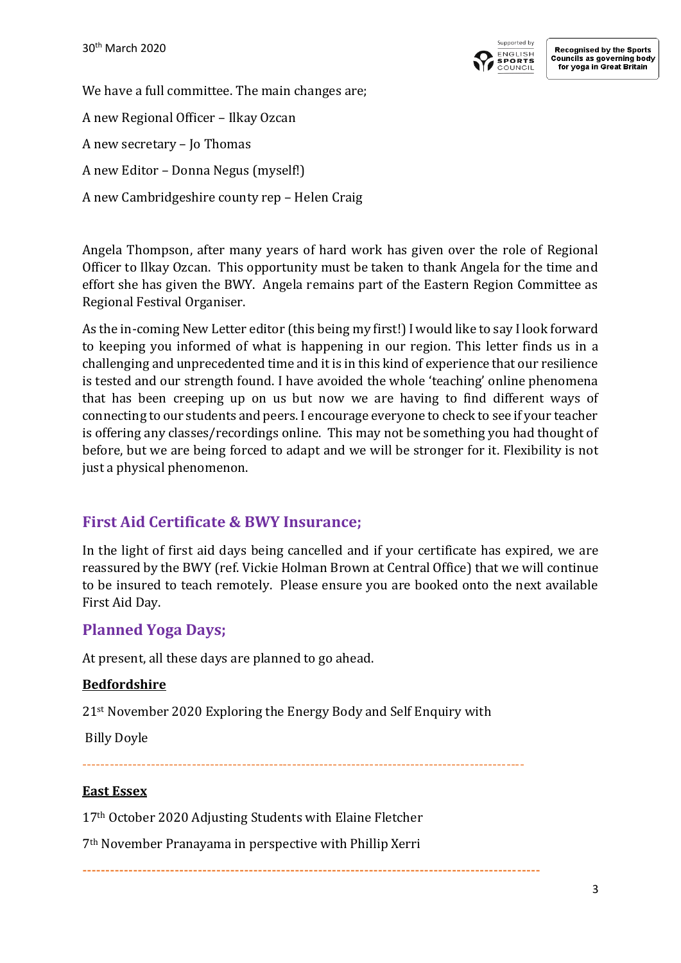

We have a full committee. The main changes are; A new Regional Officer – Ilkay Ozcan A new secretary – Jo Thomas A new Editor – Donna Negus (myself!) A new Cambridgeshire county rep – Helen Craig

Angela Thompson, after many years of hard work has given over the role of Regional Officer to Ilkay Ozcan. This opportunity must be taken to thank Angela for the time and effort she has given the BWY. Angela remains part of the Eastern Region Committee as Regional Festival Organiser.

As the in-coming New Letter editor (this being my first!) I would like to say I look forward to keeping you informed of what is happening in our region. This letter finds us in a challenging and unprecedented time and it is in this kind of experience that our resilience is tested and our strength found. I have avoided the whole 'teaching' online phenomena that has been creeping up on us but now we are having to find different ways of connecting to our students and peers. I encourage everyone to check to see if your teacher is offering any classes/recordings online. This may not be something you had thought of before, but we are being forced to adapt and we will be stronger for it. Flexibility is not just a physical phenomenon.

## **First Aid Certificate & BWY Insurance;**

In the light of first aid days being cancelled and if your certificate has expired, we are reassured by the BWY (ref. Vickie Holman Brown at Central Office) that we will continue to be insured to teach remotely. Please ensure you are booked onto the next available First Aid Day.

## **Planned Yoga Days;**

At present, all these days are planned to go ahead.

#### **Bedfordshire**

21st November 2020 Exploring the Energy Body and Self Enquiry with

Billy Doyle

## -------------------------------------------------------------------------------------------------

#### **East Essex**

17th October 2020 Adjusting Students with Elaine Fletcher

7th November Pranayama in perspective with Phillip Xerri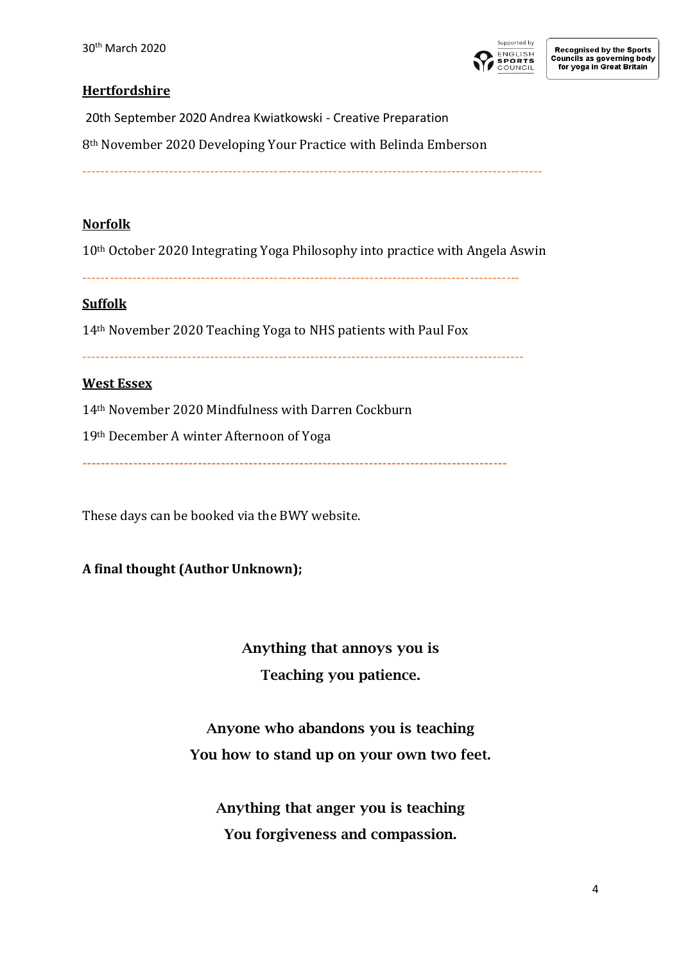

#### **Hertfordshire**

20th September 2020 Andrea Kwiatkowski - Creative Preparation

8th November 2020 Developing Your Practice with Belinda Emberson

-----------------------------------------------------------------------------------------------------

#### **Norfolk**

10th October 2020 Integrating Yoga Philosophy into practice with Angela Aswin

------------------------------------------------------------------------------------------------

#### **Suffolk**

14th November 2020 Teaching Yoga to NHS patients with Paul Fox

-------------------------------------------------------------------------------------------------

#### **West Essex**

14th November 2020 Mindfulness with Darren Cockburn

19th December A winter Afternoon of Yoga

**--------------------------------------------------------------------------------------------**

These days can be booked via the BWY website.

#### **A final thought (Author Unknown);**

Anything that annoys you is Teaching you patience.

Anyone who abandons you is teaching You how to stand up on your own two feet.

Anything that anger you is teaching You forgiveness and compassion.